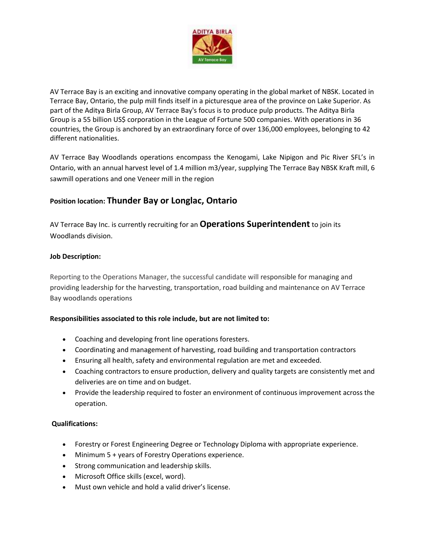

AV Terrace Bay is an exciting and innovative company operating in the global market of NBSK. Located in Terrace Bay, Ontario, the pulp mill finds itself in a picturesque area of the province on Lake Superior. As part of the Aditya Birla Group, AV Terrace Bay's focus is to produce pulp products. The Aditya Birla Group is a 55 billion US\$ corporation in the League of Fortune 500 companies. With operations in 36 countries, the Group is anchored by an extraordinary force of over 136,000 employees, belonging to 42 different nationalities.

AV Terrace Bay Woodlands operations encompass the Kenogami, Lake Nipigon and Pic River SFL's in Ontario, with an annual harvest level of 1.4 million m3/year, supplying The Terrace Bay NBSK Kraft mill, 6 sawmill operations and one Veneer mill in the region

# **Position location: Thunder Bay or Longlac, Ontario**

AV Terrace Bay Inc. is currently recruiting for an **Operations Superintendent** to join its Woodlands division.

## **Job Description:**

Reporting to the Operations Manager, the successful candidate will responsible for managing and providing leadership for the harvesting, transportation, road building and maintenance on AV Terrace Bay woodlands operations

## **Responsibilities associated to this role include, but are not limited to:**

- Coaching and developing front line operations foresters.
- Coordinating and management of harvesting, road building and transportation contractors
- Ensuring all health, safety and environmental regulation are met and exceeded.
- Coaching contractors to ensure production, delivery and quality targets are consistently met and deliveries are on time and on budget.
- Provide the leadership required to foster an environment of continuous improvement across the operation.

## **Qualifications:**

- Forestry or Forest Engineering Degree or Technology Diploma with appropriate experience.
- Minimum 5 + years of Forestry Operations experience.
- Strong communication and leadership skills.
- Microsoft Office skills (excel, word).
- Must own vehicle and hold a valid driver's license.